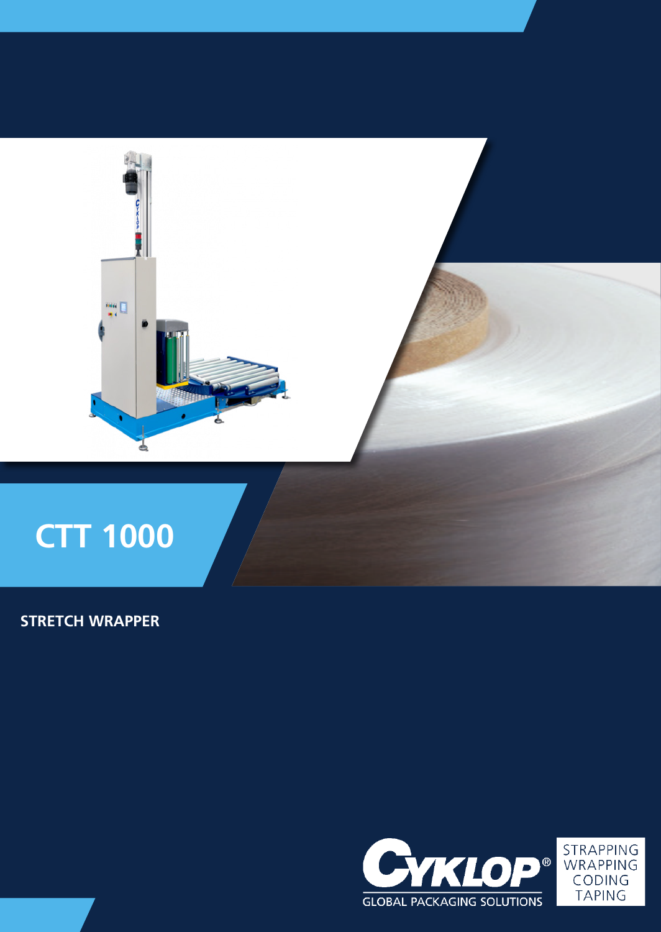

# **STRETCH WRAPPER**